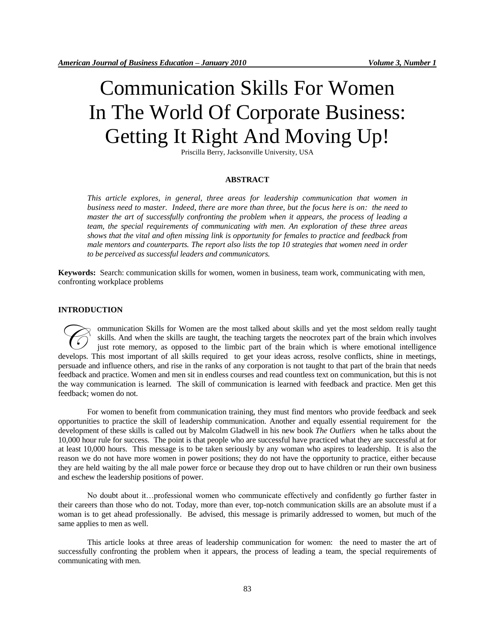# Communication Skills For Women In The World Of Corporate Business: Getting It Right And Moving Up!

Priscilla Berry, Jacksonville University, USA

#### **ABSTRACT**

*This article explores, in general, three areas for leadership communication that women in business need to master. Indeed, there are more than three, but the focus here is on: the need to master the art of successfully confronting the problem when it appears, the process of leading a team, the special requirements of communicating with men. An exploration of these three areas shows that the vital and often missing link is opportunity for females to practice and feedback from male mentors and counterparts. The report also lists the top 10 strategies that women need in order to be perceived as successful leaders and communicators.*

**Keywords:** Search: communication skills for women, women in business, team work, communicating with men, confronting workplace problems

### **INTRODUCTION**

ommunication Skills for Women are the most talked about skills and yet the most seldom really taught skills. And when the skills are taught, the teaching targets the neocrotex part of the brain which involves just rote memory, as opposed to the limbic part of the brain which is where emotional intelligence ommunication Skills for Women are the most talked about skills and yet the most seldom really taught skills. And when the skills are taught, the teaching targets the neocrotex part of the brain which involves just rote mem persuade and influence others, and rise in the ranks of any corporation is not taught to that part of the brain that needs feedback and practice. Women and men sit in endless courses and read countless text on communication, but this is not the way communication is learned. The skill of communication is learned with feedback and practice. Men get this feedback; women do not.

For women to benefit from communication training, they must find mentors who provide feedback and seek opportunities to practice the skill of leadership communication. Another and equally essential requirement for the development of these skills is called out by Malcolm Gladwell in his new book *The Outliers* when he talks about the 10,000 hour rule for success. The point is that people who are successful have practiced what they are successful at for at least 10,000 hours. This message is to be taken seriously by any woman who aspires to leadership. It is also the reason we do not have more women in power positions; they do not have the opportunity to practice, either because they are held waiting by the all male power force or because they drop out to have children or run their own business and eschew the leadership positions of power.

No doubt about it…professional women who communicate effectively and confidently go further faster in their careers than those who do not. Today, more than ever, top-notch communication skills are an absolute must if a woman is to get ahead professionally. Be advised, this message is primarily addressed to women, but much of the same applies to men as well.

This article looks at three areas of leadership communication for women: the need to master the art of successfully confronting the problem when it appears, the process of leading a team, the special requirements of communicating with men.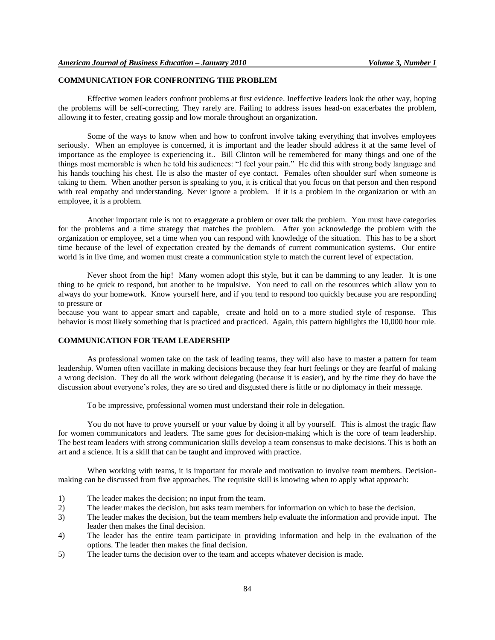# **COMMUNICATION FOR CONFRONTING THE PROBLEM**

Effective women leaders confront problems at first evidence. Ineffective leaders look the other way, hoping the problems will be self-correcting. They rarely are. Failing to address issues head-on exacerbates the problem, allowing it to fester, creating gossip and low morale throughout an organization.

Some of the ways to know when and how to confront involve taking everything that involves employees seriously. When an employee is concerned, it is important and the leader should address it at the same level of importance as the employee is experiencing it.. Bill Clinton will be remembered for many things and one of the things most memorable is when he told his audiences: "I feel your pain." He did this with strong body language and his hands touching his chest. He is also the master of eye contact. Females often shoulder surf when someone is taking to them. When another person is speaking to you, it is critical that you focus on that person and then respond with real empathy and understanding. Never ignore a problem. If it is a problem in the organization or with an employee, it is a problem.

Another important rule is not to exaggerate a problem or over talk the problem. You must have categories for the problems and a time strategy that matches the problem. After you acknowledge the problem with the organization or employee, set a time when you can respond with knowledge of the situation. This has to be a short time because of the level of expectation created by the demands of current communication systems. Our entire world is in live time, and women must create a communication style to match the current level of expectation.

Never shoot from the hip! Many women adopt this style, but it can be damming to any leader. It is one thing to be quick to respond, but another to be impulsive. You need to call on the resources which allow you to always do your homework. Know yourself here, and if you tend to respond too quickly because you are responding to pressure or

because you want to appear smart and capable, create and hold on to a more studied style of response. This behavior is most likely something that is practiced and practiced. Again, this pattern highlights the 10,000 hour rule.

# **COMMUNICATION FOR TEAM LEADERSHIP**

As professional women take on the task of leading teams, they will also have to master a pattern for team leadership. Women often vacillate in making decisions because they fear hurt feelings or they are fearful of making a wrong decision. They do all the work without delegating (because it is easier), and by the time they do have the discussion about everyone's roles, they are so tired and disgusted there is little or no diplomacy in their message.

To be impressive, professional women must understand their role in delegation.

You do not have to prove yourself or your value by doing it all by yourself. This is almost the tragic flaw for women communicators and leaders. The same goes for decision-making which is the core of team leadership. The best team leaders with strong communication skills develop a team consensus to make decisions. This is both an art and a science. It is a skill that can be taught and improved with practice.

When working with teams, it is important for morale and motivation to involve team members. Decisionmaking can be discussed from five approaches. The requisite skill is knowing when to apply what approach:

- 1) The leader makes the decision; no input from the team.
- 2) The leader makes the decision, but asks team members for information on which to base the decision.
- 3) The leader makes the decision, but the team members help evaluate the information and provide input. The leader then makes the final decision.
- 4) The leader has the entire team participate in providing information and help in the evaluation of the options. The leader then makes the final decision.
- 5) The leader turns the decision over to the team and accepts whatever decision is made.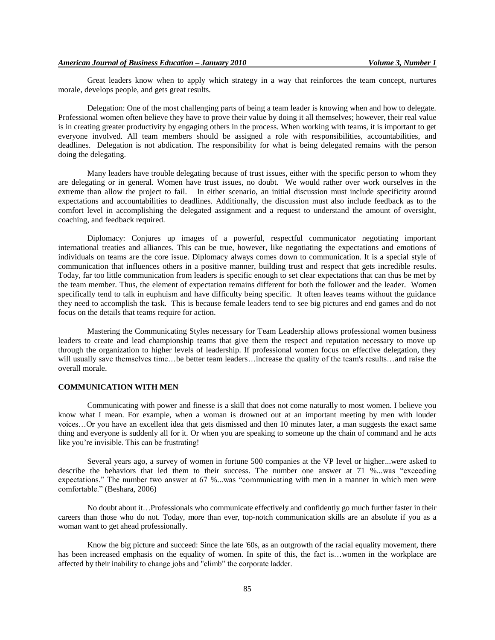Great leaders know when to apply which strategy in a way that reinforces the team concept, nurtures morale, develops people, and gets great results.

Delegation: One of the most challenging parts of being a team leader is knowing when and how to delegate. Professional women often believe they have to prove their value by doing it all themselves; however, their real value is in creating greater productivity by engaging others in the process. When working with teams, it is important to get everyone involved. All team members should be assigned a role with responsibilities, accountabilities, and deadlines. Delegation is not abdication. The responsibility for what is being delegated remains with the person doing the delegating.

Many leaders have trouble delegating because of trust issues, either with the specific person to whom they are delegating or in general. Women have trust issues, no doubt. We would rather over work ourselves in the extreme than allow the project to fail. In either scenario, an initial discussion must include specificity around expectations and accountabilities to deadlines. Additionally, the discussion must also include feedback as to the comfort level in accomplishing the delegated assignment and a request to understand the amount of oversight, coaching, and feedback required.

Diplomacy: Conjures up images of a powerful, respectful communicator negotiating important international treaties and alliances. This can be true, however, like negotiating the expectations and emotions of individuals on teams are the core issue. Diplomacy always comes down to communication. It is a special style of communication that influences others in a positive manner, building trust and respect that gets incredible results. Today, far too little communication from leaders is specific enough to set clear expectations that can thus be met by the team member. Thus, the element of expectation remains different for both the follower and the leader. Women specifically tend to talk in euphuism and have difficulty being specific. It often leaves teams without the guidance they need to accomplish the task. This is because female leaders tend to see big pictures and end games and do not focus on the details that teams require for action.

Mastering the Communicating Styles necessary for Team Leadership allows professional women business leaders to create and lead championship teams that give them the respect and reputation necessary to move up through the organization to higher levels of leadership. If professional women focus on effective delegation, they will usually save themselves time...be better team leaders...increase the quality of the team's results...and raise the overall morale.

#### **COMMUNICATION WITH MEN**

Communicating with power and finesse is a skill that does not come naturally to most women. I believe you know what I mean. For example, when a woman is drowned out at an important meeting by men with louder voices…Or you have an excellent idea that gets dismissed and then 10 minutes later, a man suggests the exact same thing and everyone is suddenly all for it. Or when you are speaking to someone up the chain of command and he acts like you're invisible. This can be frustrating!

Several years ago, a survey of women in fortune 500 companies at the VP level or higher...were asked to describe the behaviors that led them to their success. The number one answer at 71 %...was "exceeding expectations." The number two answer at 67 %...was "communicating with men in a manner in which men were comfortable." (Beshara, 2006)

No doubt about it…Professionals who communicate effectively and confidently go much further faster in their careers than those who do not. Today, more than ever, top-notch communication skills are an absolute if you as a woman want to get ahead professionally.

Know the big picture and succeed: Since the late '60s, as an outgrowth of the racial equality movement, there has been increased emphasis on the equality of women. In spite of this, the fact is…women in the workplace are affected by their inability to change jobs and "climb" the corporate ladder.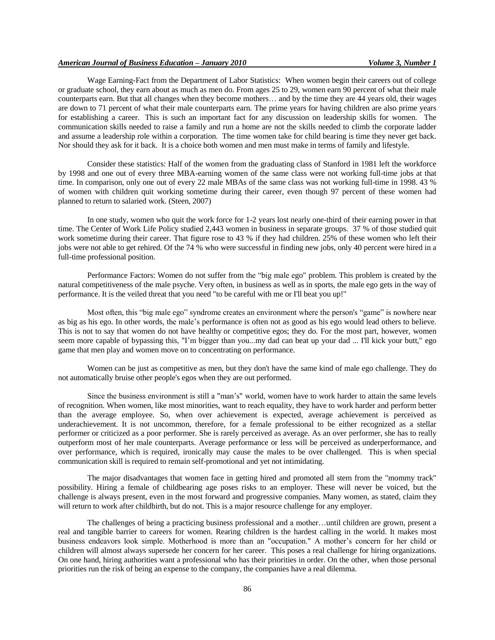## *American Journal of Business Education – January 2010 Volume 3, Number 1*

Wage Earning-Fact from the Department of Labor Statistics: When women begin their careers out of college or graduate school, they earn about as much as men do. From ages 25 to 29, women earn 90 percent of what their male counterparts earn. But that all changes when they become mothers… and by the time they are 44 years old, their wages are down to 71 percent of what their male counterparts earn. The prime years for having children are also prime years for establishing a career. This is such an important fact for any discussion on leadership skills for women. The communication skills needed to raise a family and run a home are not the skills needed to climb the corporate ladder and assume a leadership role within a corporation. The time women take for child bearing is time they never get back. Nor should they ask for it back. It is a choice both women and men must make in terms of family and lifestyle.

Consider these statistics: Half of the women from the graduating class of Stanford in 1981 left the workforce by 1998 and one out of every three MBA-earning women of the same class were not working full-time jobs at that time. In comparison, only one out of every 22 male MBAs of the same class was not working full-time in 1998. 43 % of women with children quit working sometime during their career, even though 97 percent of these women had planned to return to salaried work. (Steen, 2007)

In one study, women who quit the work force for 1-2 years lost nearly one-third of their earning power in that time. The Center of Work Life Policy studied 2,443 women in business in separate groups. 37 % of those studied quit work sometime during their career. That figure rose to 43 % if they had children. 25% of these women who left their jobs were not able to get rehired. Of the 74 % who were successful in finding new jobs, only 40 percent were hired in a full-time professional position.

Performance Factors: Women do not suffer from the "big male ego" problem. This problem is created by the natural competitiveness of the male psyche. Very often, in business as well as in sports, the male ego gets in the way of performance. It is the veiled threat that you need "to be careful with me or I'll beat you up!"

Most often, this "big male ego" syndrome creates an environment where the person's "game" is nowhere near as big as his ego. In other words, the male's performance is often not as good as his ego would lead others to believe. This is not to say that women do not have healthy or competitive egos; they do. For the most part, however, women seem more capable of bypassing this, "I'm bigger than you...my dad can beat up your dad ... I'll kick your butt," ego game that men play and women move on to concentrating on performance.

Women can be just as competitive as men, but they don't have the same kind of male ego challenge. They do not automatically bruise other people's egos when they are out performed.

Since the business environment is still a "man's" world, women have to work harder to attain the same levels of recognition. When women, like most minorities, want to reach equality, they have to work harder and perform better than the average employee. So, when over achievement is expected, average achievement is perceived as underachievement. It is not uncommon, therefore, for a female professional to be either recognized as a stellar performer or criticized as a poor performer. She is rarely perceived as average. As an over performer, she has to really outperform most of her male counterparts. Average performance or less will be perceived as underperformance, and over performance, which is required, ironically may cause the males to be over challenged. This is when special communication skill is required to remain self-promotional and yet not intimidating.

The major disadvantages that women face in getting hired and promoted all stem from the "mommy track" possibility. Hiring a female of childbearing age poses risks to an employer. These will never be voiced, but the challenge is always present, even in the most forward and progressive companies. Many women, as stated, claim they will return to work after childbirth, but do not. This is a major resource challenge for any employer.

The challenges of being a practicing business professional and a mother…until children are grown, present a real and tangible barrier to careers for women. Rearing children is the hardest calling in the world. It makes most business endeavors look simple. Motherhood is more than an "occupation." A mother's concern for her child or children will almost always supersede her concern for her career. This poses a real challenge for hiring organizations. On one hand, hiring authorities want a professional who has their priorities in order. On the other, when those personal priorities run the risk of being an expense to the company, the companies have a real dilemma.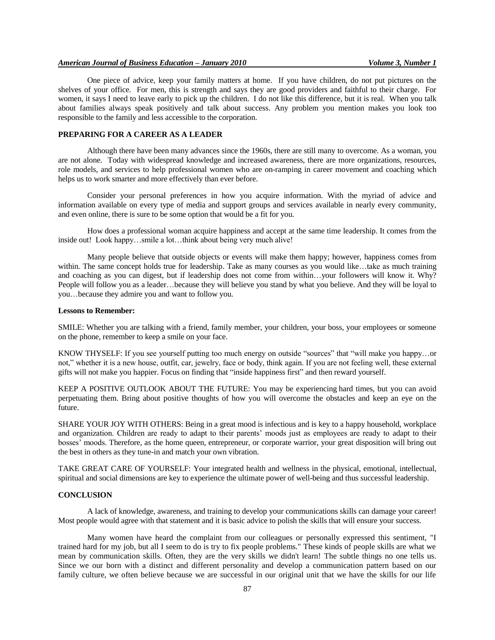#### *American Journal of Business Education – January 2010 Volume 3, Number 1*

One piece of advice, keep your family matters at home. If you have children, do not put pictures on the shelves of your office. For men, this is strength and says they are good providers and faithful to their charge. For women, it says I need to leave early to pick up the children. I do not like this difference, but it is real. When you talk about families always speak positively and talk about success. Any problem you mention makes you look too responsible to the family and less accessible to the corporation.

### **PREPARING FOR A CAREER AS A LEADER**

Although there have been many advances since the 1960s, there are still many to overcome. As a woman, you are not alone. Today with widespread knowledge and increased awareness, there are more organizations, resources, role models, and services to help professional women who are on-ramping in career movement and coaching which helps us to work smarter and more effectively than ever before.

Consider your personal preferences in how you acquire information. With the myriad of advice and information available on every type of media and support groups and services available in nearly every community, and even online, there is sure to be some option that would be a fit for you.

How does a professional woman acquire happiness and accept at the same time leadership. It comes from the inside out! Look happy…smile a lot…think about being very much alive!

Many people believe that outside objects or events will make them happy; however, happiness comes from within. The same concept holds true for leadership. Take as many courses as you would like…take as much training and coaching as you can digest, but if leadership does not come from within…your followers will know it. Why? People will follow you as a leader…because they will believe you stand by what you believe. And they will be loyal to you…because they admire you and want to follow you.

#### **Lessons to Remember:**

SMILE: Whether you are talking with a friend, family member, your children, your boss, your employees or someone on the phone, remember to keep a smile on your face.

KNOW THYSELF: If you see yourself putting too much energy on outside "sources" that "will make you happy…or not," whether it is a new house, outfit, car, jewelry, face or body, think again. If you are not feeling well, these external gifts will not make you happier. Focus on finding that "inside happiness first" and then reward yourself.

KEEP A POSITIVE OUTLOOK ABOUT THE FUTURE: You may be experiencing hard times, but you can avoid perpetuating them. Bring about positive thoughts of how you will overcome the obstacles and keep an eye on the future.

SHARE YOUR JOY WITH OTHERS: Being in a great mood is infectious and is key to a happy household, workplace and organization. Children are ready to adapt to their parents' moods just as employees are ready to adapt to their bosses' moods. Therefore, as the home queen, entrepreneur, or corporate warrior, your great disposition will bring out the best in others as they tune-in and match your own vibration.

TAKE GREAT CARE OF YOURSELF: Your integrated health and wellness in the physical, emotional, intellectual, spiritual and social dimensions are key to experience the ultimate power of well-being and thus successful leadership.

#### **CONCLUSION**

A lack of knowledge, awareness, and training to develop your communications skills can damage your career! Most people would agree with that statement and it is basic advice to polish the skills that will ensure your success.

Many women have heard the complaint from our colleagues or personally expressed this sentiment, "I trained hard for my job, but all I seem to do is try to fix people problems." These kinds of people skills are what we mean by communication skills. Often, they are the very skills we didn't learn! The subtle things no one tells us. Since we our born with a distinct and different personality and develop a communication pattern based on our family culture, we often believe because we are successful in our original unit that we have the skills for our life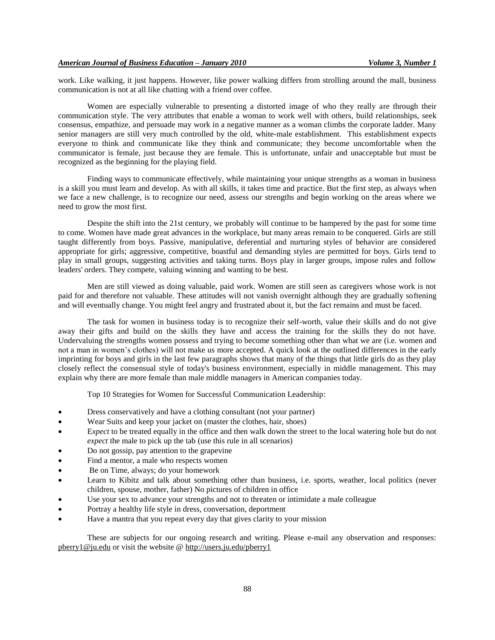work. Like walking, it just happens. However, like power walking differs from strolling around the mall, business communication is not at all like chatting with a friend over coffee.

Women are especially vulnerable to presenting a distorted image of who they really are through their communication style. The very attributes that enable a woman to work well with others, build relationships, seek consensus, empathize, and persuade may work in a negative manner as a woman climbs the corporate ladder. Many senior managers are still very much controlled by the old, white-male establishment. This establishment expects everyone to think and communicate like they think and communicate; they become uncomfortable when the communicator is female, just because they are female. This is unfortunate, unfair and unacceptable but must be recognized as the beginning for the playing field.

Finding ways to communicate effectively, while maintaining your unique strengths as a woman in business is a skill you must learn and develop. As with all skills, it takes time and practice. But the first step, as always when we face a new challenge, is to recognize our need, assess our strengths and begin working on the areas where we need to grow the most first.

Despite the shift into the 21st century, we probably will continue to be hampered by the past for some time to come. Women have made great advances in the workplace, but many areas remain to be conquered. Girls are still taught differently from boys. Passive, manipulative, deferential and nurturing styles of behavior are considered appropriate for girls; aggressive, competitive, boastful and demanding styles are permitted for boys. Girls tend to play in small groups, suggesting activities and taking turns. Boys play in larger groups, impose rules and follow leaders' orders. They compete, valuing winning and wanting to be best.

Men are still viewed as doing valuable, paid work. Women are still seen as caregivers whose work is not paid for and therefore not valuable. These attitudes will not vanish overnight although they are gradually softening and will eventually change. You might feel angry and frustrated about it, but the fact remains and must be faced.

The task for women in business today is to recognize their self-worth, value their skills and do not give away their gifts and build on the skills they have and access the training for the skills they do not have. Undervaluing the strengths women possess and trying to become something other than what we are (i.e. women and not a man in women's clothes) will not make us more accepted. A quick look at the outlined differences in the early imprinting for boys and girls in the last few paragraphs shows that many of the things that little girls do as they play closely reflect the consensual style of today's business environment, especially in middle management. This may explain why there are more female than male middle managers in American companies today.

Top 10 Strategies for Women for Successful Communication Leadership:

- Dress conservatively and have a clothing consultant (not your partner)
- Wear Suits and keep your jacket on (master the clothes, hair, shoes)
- E*xpect* to be treated equally in the office and then walk down the street to the local watering hole but do not *expect* the male to pick up the tab (use this rule in all scenarios)
- Do not gossip, pay attention to the grapevine
- Find a mentor, a male who respects women
- Be on Time, always; do your homework
- Learn to Kibitz and talk about something other than business, i.e. sports, weather, local politics (never children, spouse, mother, father) No pictures of children in office
- Use your sex to advance your strengths and not to threaten or intimidate a male colleague
- Portray a healthy life style in dress, conversation, deportment
- Have a mantra that you repeat every day that gives clarity to your mission

These are subjects for our ongoing research and writing. Please e-mail any observation and responses: [pberry1@ju.edu](mailto:pberry1@ju.edu) or visit the website @<http://users.ju.edu/pberry1>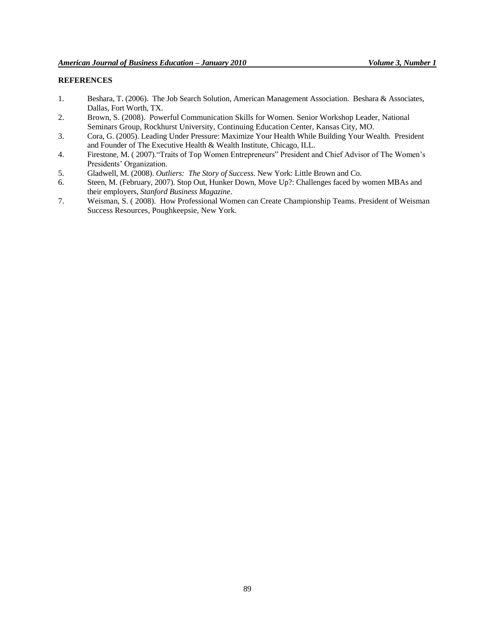# **REFERENCES**

- 1. Beshara, T. (2006). The Job Search Solution, American Management Association. Beshara & Associates, Dallas, Fort Worth, TX.
- 2. Brown, S. (2008). Powerful Communication Skills for Women. Senior Workshop Leader, National Seminars Group, Rockhurst University, Continuing Education Center, Kansas City, MO.
- 3. Cora, G. (2005). Leading Under Pressure: Maximize Your Health While Building Your Wealth. President and Founder of The Executive Health & Wealth Institute, Chicago, ILL.
- 4. Firestone, M. ( 2007)."Traits of Top Women Entrepreneurs" President and Chief Advisor of The Women's Presidents' Organization.
- 5. Gladwell, M. (2008). *Outliers: The Story of Success*. New York: Little Brown and Co.
- 6. Steen, M. (February, 2007). Stop Out, Hunker Down, Move Up?: Challenges faced by women MBAs and their employers, *Stanford Business Magazine*.
- 7. Weisman, S. ( 2008). How Professional Women can Create Championship Teams. President of Weisman Success Resources, Poughkeepsie, New York.